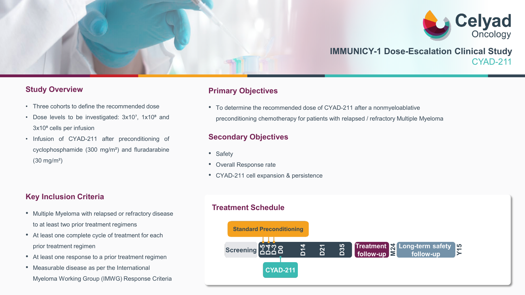

# **IMMUNICY-1 Dose-Escalation Clinical Study** CYAD-211

#### **Study Overview**

- Three cohorts to define the recommended dose
- Dose levels to be investigated: 3x10<sup>7</sup>, 1x10<sup>8</sup> and 3x10<sup>8</sup> cells per infusion
- Infusion of CYAD-211 after preconditioning of cyclophosphamide (300 mg/m²) and fluradarabine (30 mg/m²)

## **Key Inclusion Criteria**

- Multiple Myeloma with relapsed or refractory disease to at least two prior treatment regimens
- At least one complete cycle of treatment for each prior treatment regimen
- At least one response to a prior treatment regimen
- Measurable disease as per the International Myeloma Working Group (IMWG) Response Criteria

## **Primary Objectives**

• To determine the recommended dose of CYAD-211 after a nonmyeloablative preconditioning chemotherapy for patients with relapsed / refractory Multiple Myeloma

## **Secondary Objectives**

- Safety
- Overall Response rate
- CYAD-211 cell expansion & persistence